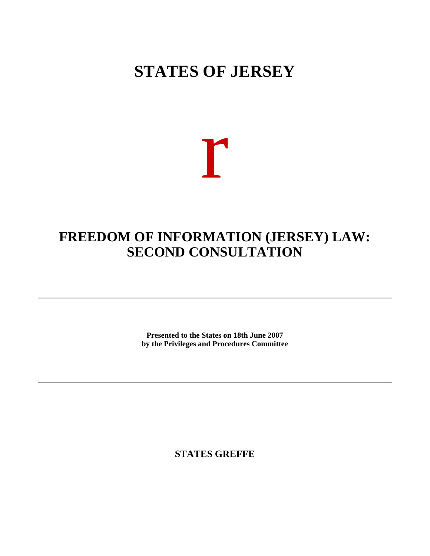# **STATES OF JERSEY**

# r

## **FREEDOM OF INFORMATION (JERSEY) LAW: SECOND CONSULTATION**

**Presented to the States on 18th June 2007 by the Privileges and Procedures Committee**

**STATES GREFFE**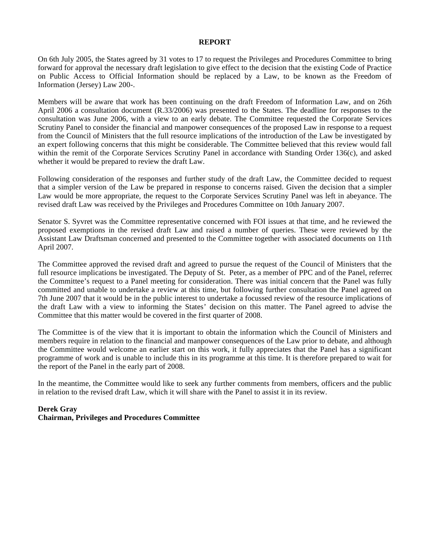#### **REPORT**

On 6th July 2005, the States agreed by 31 votes to 17 to request the Privileges and Procedures Committee to bring forward for approval the necessary draft legislation to give effect to the decision that the existing Code of Practice on Public Access to Official Information should be replaced by a Law, to be known as the Freedom of Information (Jersey) Law 200-.

Members will be aware that work has been continuing on the draft Freedom of Information Law, and on 26th April 2006 a consultation document (R.33/2006) was presented to the States. The deadline for responses to the consultation was June 2006, with a view to an early debate. The Committee requested the Corporate Services Scrutiny Panel to consider the financial and manpower consequences of the proposed Law in response to a request from the Council of Ministers that the full resource implications of the introduction of the Law be investigated by an expert following concerns that this might be considerable. The Committee believed that this review would fall within the remit of the Corporate Services Scrutiny Panel in accordance with Standing Order 136(c), and asked whether it would be prepared to review the draft Law.

Following consideration of the responses and further study of the draft Law, the Committee decided to request that a simpler version of the Law be prepared in response to concerns raised. Given the decision that a simpler Law would be more appropriate, the request to the Corporate Services Scrutiny Panel was left in abeyance. The revised draft Law was received by the Privileges and Procedures Committee on 10th January 2007.

Senator S. Syvret was the Committee representative concerned with FOI issues at that time, and he reviewed the proposed exemptions in the revised draft Law and raised a number of queries. These were reviewed by the Assistant Law Draftsman concerned and presented to the Committee together with associated documents on 11th April 2007.

The Committee approved the revised draft and agreed to pursue the request of the Council of Ministers that the full resource implications be investigated. The Deputy of St. Peter, as a member of PPC and of the Panel, referred the Committee's request to a Panel meeting for consideration. There was initial concern that the Panel was fully committed and unable to undertake a review at this time, but following further consultation the Panel agreed on 7th June 2007 that it would be in the public interest to undertake a focussed review of the resource implications of the draft Law with a view to informing the States' decision on this matter. The Panel agreed to advise the Committee that this matter would be covered in the first quarter of 2008.

The Committee is of the view that it is important to obtain the information which the Council of Ministers and members require in relation to the financial and manpower consequences of the Law prior to debate, and although the Committee would welcome an earlier start on this work, it fully appreciates that the Panel has a significant programme of work and is unable to include this in its programme at this time. It is therefore prepared to wait for the report of the Panel in the early part of 2008.

In the meantime, the Committee would like to seek any further comments from members, officers and the public in relation to the revised draft Law, which it will share with the Panel to assist it in its review.

#### **Derek Gray Chairman, Privileges and Procedures Committee**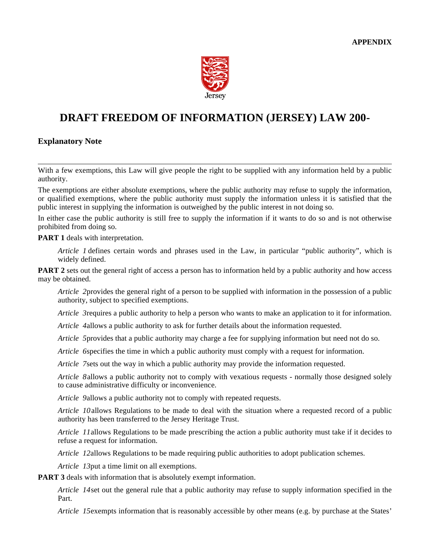

## **DRAFT FREEDOM OF INFORMATION (JERSEY) LAW 200-**

#### **Explanatory Note**

With a few exemptions, this Law will give people the right to be supplied with any information held by a public authority.

The exemptions are either absolute exemptions, where the public authority may refuse to supply the information, or qualified exemptions, where the public authority must supply the information unless it is satisfied that the public interest in supplying the information is outweighed by the public interest in not doing so.

In either case the public authority is still free to supply the information if it wants to do so and is not otherwise prohibited from doing so.

**PART 1** deals with interpretation.

*Article 1* defines certain words and phrases used in the Law, in particular "public authority", which is widely defined.

**PART 2** sets out the general right of access a person has to information held by a public authority and how access may be obtained.

*Article 2* provides the general right of a person to be supplied with information in the possession of a public authority, subject to specified exemptions.

*Article 3* requires a public authority to help a person who wants to make an application to it for information.

*Article 4* allows a public authority to ask for further details about the information requested.

*Article 5* provides that a public authority may charge a fee for supplying information but need not do so.

*Article 6* specifies the time in which a public authority must comply with a request for information.

*Article 7* sets out the way in which a public authority may provide the information requested.

*Article 8* allows a public authority not to comply with vexatious requests - normally those designed solely to cause administrative difficulty or inconvenience.

*Article 9* allows a public authority not to comply with repeated requests.

*Article 10* allows Regulations to be made to deal with the situation where a requested record of a public authority has been transferred to the Jersey Heritage Trust.

*Article 11* allows Regulations to be made prescribing the action a public authority must take if it decides to refuse a request for information.

*Article 12* allows Regulations to be made requiring public authorities to adopt publication schemes.

*Article 13* put a time limit on all exemptions.

**PART 3** deals with information that is absolutely exempt information.

*Article 14* set out the general rule that a public authority may refuse to supply information specified in the Part.

*Article 15* exempts information that is reasonably accessible by other means (e.g. by purchase at the States'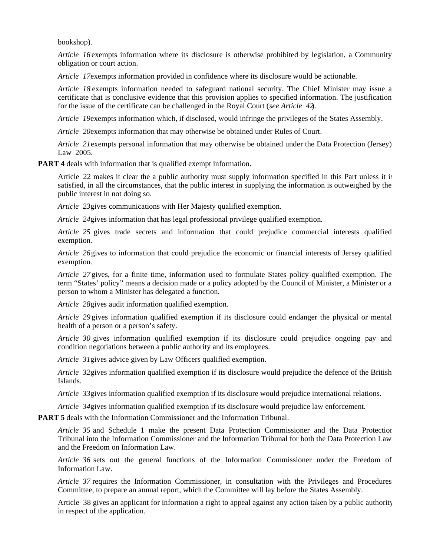bookshop).

*Article 16* exempts information where its disclosure is otherwise prohibited by legislation, a Community obligation or court action.

*Article 17* exempts information provided in confidence where its disclosure would be actionable.

*Article 18* exempts information needed to safeguard national security. The Chief Minister may issue a certificate that is conclusive evidence that this provision applies to specified information. The justification for the issue of the certificate can be challenged in the Royal Court (*see Article 42*).

*Article 19* exempts information which, if disclosed, would infringe the privileges of the States Assembly.

*Article 20* exempts information that may otherwise be obtained under Rules of Court.

*Article 21* exempts personal information that may otherwise be obtained under the Data Protection (Jersey) Law 2005.

**PART 4** deals with information that is qualified exempt information.

Article 22 makes it clear the a public authority must supply information specified in this Part unless it is satisfied, in all the circumstances, that the public interest in supplying the information is outweighed by the public interest in not doing so.

*Article 23* gives communications with Her Majesty qualified exemption.

*Article 24* gives information that has legal professional privilege qualified exemption.

*Article 25* gives trade secrets and information that could prejudice commercial interests qualified exemption.

*Article 26* gives to information that could prejudice the economic or financial interests of Jersey qualified exemption.

*Article 27* gives, for a finite time, information used to formulate States policy qualified exemption. The term "States' policy" means a decision made or a policy adopted by the Council of Minister, a Minister or a person to whom a Minister has delegated a function.

*Article 28* gives audit information qualified exemption.

*Article 29* gives information qualified exemption if its disclosure could endanger the physical or mental health of a person or a person's safety.

*Article 30* gives information qualified exemption if its disclosure could prejudice ongoing pay and condition negotiations between a public authority and its employees.

*Article 31* gives advice given by Law Officers qualified exemption.

*Article 32* gives information qualified exemption if its disclosure would prejudice the defence of the British Islands.

*Article 33* gives information qualified exemption if its disclosure would prejudice international relations.

*Article 34* gives information qualified exemption if its disclosure would prejudice law enforcement.

**PART 5** deals with the Information Commissioner and the Information Tribunal.

*Article 35* and Schedule 1 make the present Data Protection Commissioner and the Data Protection Tribunal into the Information Commissioner and the Information Tribunal for both the Data Protection Law and the Freedom on Information Law.

*Article 36* sets out the general functions of the Information Commissioner under the Freedom of Information Law.

*Article 37* requires the Information Commissioner, in consultation with the Privileges and Procedures Committee, to prepare an annual report, which the Committee will lay before the States Assembly.

Article 38 gives an applicant for information a right to appeal against any action taken by a public authority in respect of the application.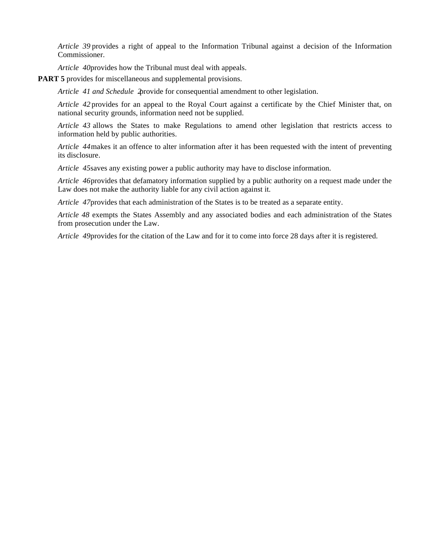*Article 39* provides a right of appeal to the Information Tribunal against a decision of the Information Commissioner.

*Article 40* provides how the Tribunal must deal with appeals.

**PART 5** provides for miscellaneous and supplemental provisions.

*Article 41 and Schedule 2* provide for consequential amendment to other legislation.

*Article 42* provides for an appeal to the Royal Court against a certificate by the Chief Minister that, on national security grounds, information need not be supplied.

*Article 43* allows the States to make Regulations to amend other legislation that restricts access to information held by public authorities.

*Article 44* makes it an offence to alter information after it has been requested with the intent of preventing its disclosure.

*Article 45* saves any existing power a public authority may have to disclose information.

*Article 46* provides that defamatory information supplied by a public authority on a request made under the Law does not make the authority liable for any civil action against it.

*Article 47* provides that each administration of the States is to be treated as a separate entity.

*Article 48* exempts the States Assembly and any associated bodies and each administration of the States from prosecution under the Law.

*Article 49* provides for the citation of the Law and for it to come into force 28 days after it is registered.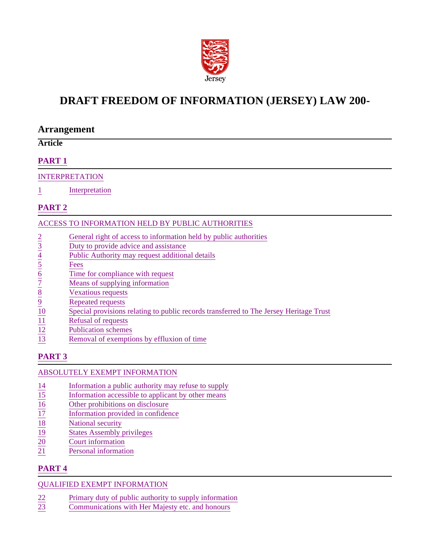

## **DRAFT FREEDOM OF INFORMATION (JERSEY) LAW 200-**

## **Arrangement**

## **Article**

## **PART 1**

#### INTERPRETATION

1 Interpretation

## **PART 2**

#### ACCESS TO INFORMATION HELD BY PUBLIC AUTHORITIES

- 
- 3 Duty to provide advice and assistance
- Public Authority may request additional details
- **Fees**
- Time for compliance with request
- Means of supplying information
- Vexatious requests
- Repeated requests
- 2 General right of access to information held by public authorities<br>  $\frac{3}{2}$  Duty to provide advice and assistance<br>
Public Authority may request additional details<br>  $\frac{5}{2}$  Fees<br>
Time for compliance with request<br>  $\frac{$ Special provisions relating to public records transferred to The Jersey Heritage Trust
- Refusal of requests
- $\frac{12}{13}$  Publication schemes<br>Removal of exemption
- Removal of exemptions by effluxion of time

## **PART 3**

## ABSOLUTELY EXEMPT INFORMATION

- 
- 14 Information a public authority may refuse to supply<br>
15 Information accessible to applicant by other means<br>
16 Other prohibitions on disclosure<br>
17 Information provided in confidence<br>
18 National security<br>
19 States Ass Information accessible to applicant by other means
- Other prohibitions on disclosure
- 17 Information provided in confidence
- National security
- 19 States Assembly privileges<br>
20 Court information
- 20 Court information<br>21 Personal informati
- Personal information

## **PART 4**

## QUALIFIED EXEMPT INFORMATION

- 22 Primary duty of public authority to supply information<br>23 Communications with Her Majesty etc. and honours
- Communications with Her Majesty etc. and honours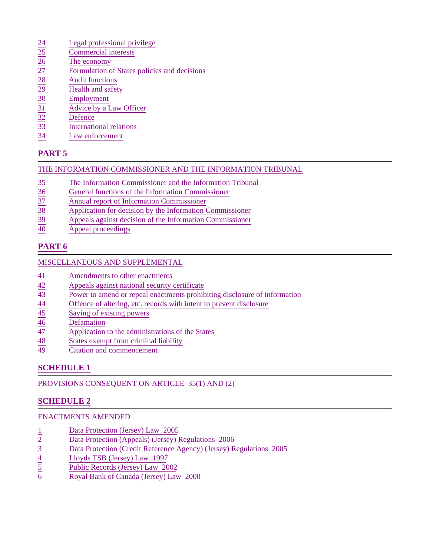- 
- Commercial interests
- The economy
- $\begin{array}{r@{\hspace{1em}}c@{\hspace{1em}}c@{\hspace{1em}}c@{\hspace{1em}}c@{\hspace{1em}}c@{\hspace{1em}}c@{\hspace{1em}}c@{\hspace{1em}}c@{\hspace{1em}}c@{\hspace{1em}}c@{\hspace{1em}}c@{\hspace{1em}}c@{\hspace{1em}}c@{\hspace{1em}}c@{\hspace{1em}}c@{\hspace{1em}}c@{\hspace{1em}}c@{\hspace{1em}}c@{\hspace{1em}}c@{\hspace{1em}}c@{\hspace{1em}}c@{\hspace{1em}}c@{\hspace{1em}}c@{\hspace{1em$ Formulation of States policies and decisions
- **Audit functions**
- Health and safety
- **Employment**
- Advice by a Law Officer
- **Defence**
- International relations
- Law enforcement

## **PART 5**

#### THE INFORMATION COMMISSIONER AND THE INFORMATION TRIBUNAL

- 35 The Information Commissioner and the Information Tribunal
- 36 General functions of the Information Commissioner<br>
37 Annual report of Information Commissioner<br>
39 Application for decision by the Information Commis<br>
39 Appeals against decision of the Information Commis
- 37 Annual report of Information Commissioner
- Application for decision by the Information Commissioner
- Appeals against decision of the Information Commissioner
- 40 Appeal proceedings

## **PART 6**

#### MISCELLANEOUS AND SUPPLEMENTAL

- 
- $\begin{array}{r}\n 41 \overline{42} \\
 \hline\n 42 \overline{43} \\
 \hline\n 43 \overline{44} \\
 \hline\n 44 \overline{45} \\
 \hline\n 45 \overline{46} \\
 \hline\n 46 \overline{47} \\
 \hline\n 47 \overline{48} \\
 \hline\n 48 \overline{5} \\
 \hline\n 49 \overline{5} \\
 \hline\n 40 \overline{6} \\
 \hline\n 41 \overline{7} \\
 \hline\n 42 \overline{7} \\
 \hline\n 43 \overline{7} \\
 \hline\n 45 \overline{7} \\
 \hline\n 46 \overline{7}$ Appeals against national security certificate
- Power to amend or repeal enactments prohibiting disclosure of information
- Offence of altering, etc. records with intent to prevent disclosure
- Saving of existing powers
- **Defamation**
- Application to the administrations of the States
- 48 States exempt from criminal liability<br>Citation and commencement
- Citation and commencement

## **SCHEDULE 1**

PROVISIONS CONSEQUENT ON ARTICLE 35(1) AND (2)

## **SCHEDULE 2**

#### ENACTMENTS AMENDED

- 
- 1<br>
Data Protection (Jersey) Law 2005<br>
Data Protection (Appeals) (Jersey) 1<br>
Data Protection (Credit Reference Ally Data Protection (Credit Reference Ally Data Protection (Credit Reference Ally Data Public Records (Jersey) 2 Data Protection (Appeals) (Jersey) Regulations 2006
- 3 Data Protection (Credit Reference Agency) (Jersey) Regulations 2005
- 4 Lloyds TSB (Jersey) Law 1997
- 5 Public Records (Jersey) Law 2002
- 6 Royal Bank of Canada (Jersey) Law 2000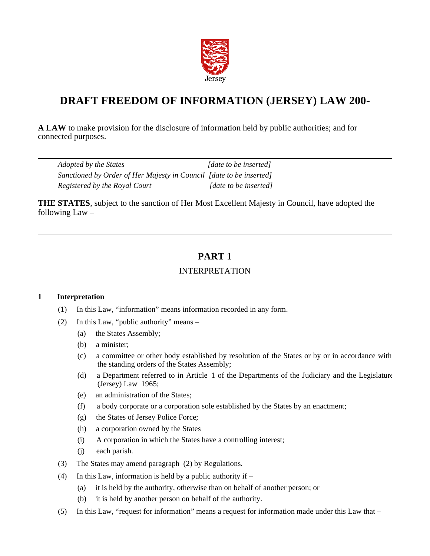

## **DRAFT FREEDOM OF INFORMATION (JERSEY) LAW 200-**

**A LAW** to make provision for the disclosure of information held by public authorities; and for connected purposes.

| Adopted by the States                                               | [date to be inserted]       |
|---------------------------------------------------------------------|-----------------------------|
| Sanctioned by Order of Her Majesty in Council [date to be inserted] |                             |
| Registered by the Royal Court                                       | <i>date to be insertedl</i> |

**THE STATES**, subject to the sanction of Her Most Excellent Majesty in Council, have adopted the following  $Law -$ 

## **PART 1**

## INTERPRETATION

#### **1 Interpretation**

- (1) In this Law, "information" means information recorded in any form.
- (2) In this Law, "public authority" means
	- (a) the States Assembly;
	- (b) a minister;
	- (c) a committee or other body established by resolution of the States or by or in accordance with the standing orders of the States Assembly;
	- (d) a Department referred to in Article 1 of the Departments of the Judiciary and the Legislature (Jersey) Law 1965;
	- (e) an administration of the States;
	- (f) a body corporate or a corporation sole established by the States by an enactment;
	- (g) the States of Jersey Police Force;
	- (h) a corporation owned by the States
	- (i) A corporation in which the States have a controlling interest;
	- (j) each parish.
- (3) The States may amend paragraph (2) by Regulations.
- (4) In this Law, information is held by a public authority if  $-$ 
	- (a) it is held by the authority, otherwise than on behalf of another person; or
	- (b) it is held by another person on behalf of the authority.
- (5) In this Law, "request for information" means a request for information made under this Law that –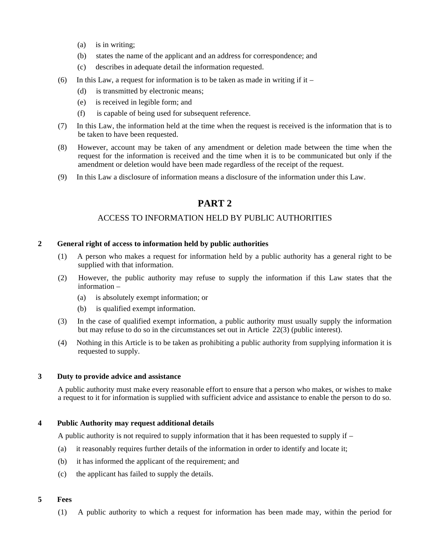- (a) is in writing;
- (b) states the name of the applicant and an address for correspondence; and
- (c) describes in adequate detail the information requested.
- (6) In this Law, a request for information is to be taken as made in writing if it
	- (d) is transmitted by electronic means;
	- (e) is received in legible form; and
	- (f) is capable of being used for subsequent reference.
- (7) In this Law, the information held at the time when the request is received is the information that is to be taken to have been requested.
- (8) However, account may be taken of any amendment or deletion made between the time when the request for the information is received and the time when it is to be communicated but only if the amendment or deletion would have been made regardless of the receipt of the request.
- (9) In this Law a disclosure of information means a disclosure of the information under this Law.

## **PART 2**

#### ACCESS TO INFORMATION HELD BY PUBLIC AUTHORITIES

#### **2 General right of access to information held by public authorities**

- (1) A person who makes a request for information held by a public authority has a general right to be supplied with that information.
- (2) However, the public authority may refuse to supply the information if this Law states that the information –
	- (a) is absolutely exempt information; or
	- (b) is qualified exempt information.
- (3) In the case of qualified exempt information, a public authority must usually supply the information but may refuse to do so in the circumstances set out in Article 22(3) (public interest).
- (4) Nothing in this Article is to be taken as prohibiting a public authority from supplying information it is requested to supply.

#### **3 Duty to provide advice and assistance**

A public authority must make every reasonable effort to ensure that a person who makes, or wishes to make a request to it for information is supplied with sufficient advice and assistance to enable the person to do so.

#### **4 Public Authority may request additional details**

A public authority is not required to supply information that it has been requested to supply if –

- (a) it reasonably requires further details of the information in order to identify and locate it;
- (b) it has informed the applicant of the requirement; and
- (c) the applicant has failed to supply the details.

#### **5 Fees**

(1) A public authority to which a request for information has been made may, within the period for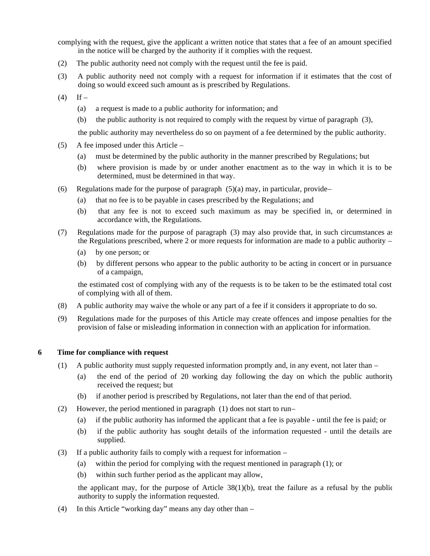complying with the request, give the applicant a written notice that states that a fee of an amount specified in the notice will be charged by the authority if it complies with the request.

- (2) The public authority need not comply with the request until the fee is paid.
- (3) A public authority need not comply with a request for information if it estimates that the cost of doing so would exceed such amount as is prescribed by Regulations.
- $(4)$  If
	- (a) a request is made to a public authority for information; and
	- (b) the public authority is not required to comply with the request by virtue of paragraph (3),

the public authority may nevertheless do so on payment of a fee determined by the public authority.

- (5) A fee imposed under this Article
	- (a) must be determined by the public authority in the manner prescribed by Regulations; but
	- (b) where provision is made by or under another enactment as to the way in which it is to be determined, must be determined in that way.
- (6) Regulations made for the purpose of paragraph  $(5)(a)$  may, in particular, provide
	- (a) that no fee is to be payable in cases prescribed by the Regulations; and
	- (b) that any fee is not to exceed such maximum as may be specified in, or determined in accordance with, the Regulations.
- (7) Regulations made for the purpose of paragraph (3) may also provide that, in such circumstances as the Regulations prescribed, where 2 or more requests for information are made to a public authority –
	- (a) by one person; or
	- (b) by different persons who appear to the public authority to be acting in concert or in pursuance of a campaign,

the estimated cost of complying with any of the requests is to be taken to be the estimated total cost of complying with all of them.

- (8) A public authority may waive the whole or any part of a fee if it considers it appropriate to do so.
- (9) Regulations made for the purposes of this Article may create offences and impose penalties for the provision of false or misleading information in connection with an application for information.

#### **6 Time for compliance with request**

- (1) A public authority must supply requested information promptly and, in any event, not later than
	- (a) the end of the period of 20 working day following the day on which the public authority received the request; but
	- (b) if another period is prescribed by Regulations, not later than the end of that period.
- (2) However, the period mentioned in paragraph (1) does not start to run
	- (a) if the public authority has informed the applicant that a fee is payable until the fee is paid; or
	- (b) if the public authority has sought details of the information requested until the details are supplied.
- (3) If a public authority fails to comply with a request for information
	- (a) within the period for complying with the request mentioned in paragraph (1); or
	- (b) within such further period as the applicant may allow,

the applicant may, for the purpose of Article  $38(1)(b)$ , treat the failure as a refusal by the public authority to supply the information requested.

(4) In this Article "working day" means any day other than –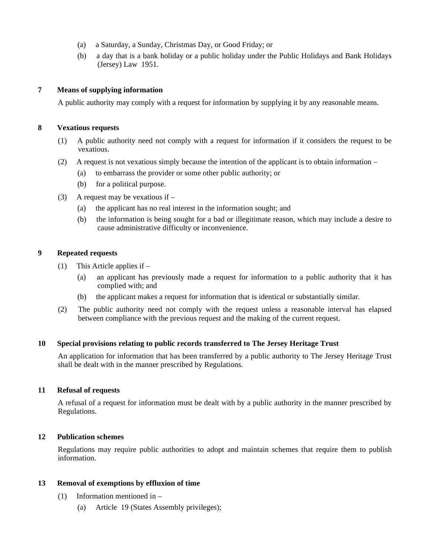- (a) a Saturday, a Sunday, Christmas Day, or Good Friday; or
- (b) a day that is a bank holiday or a public holiday under the Public Holidays and Bank Holidays (Jersey) Law 1951.

#### **7 Means of supplying information**

A public authority may comply with a request for information by supplying it by any reasonable means.

#### **8 Vexatious requests**

- (1) A public authority need not comply with a request for information if it considers the request to be vexatious.
- (2) A request is not vexatious simply because the intention of the applicant is to obtain information
	- (a) to embarrass the provider or some other public authority; or
	- (b) for a political purpose.
- (3) A request may be vexatious if  $-$ 
	- (a) the applicant has no real interest in the information sought; and
	- (b) the information is being sought for a bad or illegitimate reason, which may include a desire to cause administrative difficulty or inconvenience.

#### **9 Repeated requests**

- (1) This Article applies if
	- (a) an applicant has previously made a request for information to a public authority that it has complied with; and
	- (b) the applicant makes a request for information that is identical or substantially similar.
- (2) The public authority need not comply with the request unless a reasonable interval has elapsed between compliance with the previous request and the making of the current request.

#### **10 Special provisions relating to public records transferred to The Jersey Heritage Trust**

An application for information that has been transferred by a public authority to The Jersey Heritage Trust shall be dealt with in the manner prescribed by Regulations.

#### **11 Refusal of requests**

A refusal of a request for information must be dealt with by a public authority in the manner prescribed by Regulations.

#### **12 Publication schemes**

Regulations may require public authorities to adopt and maintain schemes that require them to publish information.

#### **13 Removal of exemptions by effluxion of time**

- (1) Information mentioned in
	- (a) Article 19 (States Assembly privileges);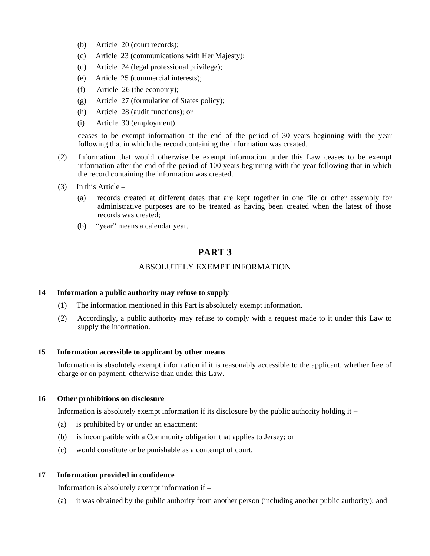- (b) Article 20 (court records);
- (c) Article 23 (communications with Her Majesty);
- (d) Article 24 (legal professional privilege);
- (e) Article 25 (commercial interests);
- (f) Article 26 (the economy);
- (g) Article 27 (formulation of States policy);
- (h) Article 28 (audit functions); or
- (i) Article 30 (employment),

ceases to be exempt information at the end of the period of 30 years beginning with the year following that in which the record containing the information was created.

- (2) Information that would otherwise be exempt information under this Law ceases to be exempt information after the end of the period of 100 years beginning with the year following that in which the record containing the information was created.
- (3) In this Article
	- (a) records created at different dates that are kept together in one file or other assembly for administrative purposes are to be treated as having been created when the latest of those records was created;
	- (b) "year" means a calendar year.

## **PART 3**

#### ABSOLUTELY EXEMPT INFORMATION

#### **14 Information a public authority may refuse to supply**

- (1) The information mentioned in this Part is absolutely exempt information.
- (2) Accordingly, a public authority may refuse to comply with a request made to it under this Law to supply the information.

#### **15 Information accessible to applicant by other means**

Information is absolutely exempt information if it is reasonably accessible to the applicant, whether free of charge or on payment, otherwise than under this Law.

#### **16 Other prohibitions on disclosure**

Information is absolutely exempt information if its disclosure by the public authority holding it  $-$ 

- (a) is prohibited by or under an enactment;
- (b) is incompatible with a Community obligation that applies to Jersey; or
- (c) would constitute or be punishable as a contempt of court.

#### **17 Information provided in confidence**

Information is absolutely exempt information if –

(a) it was obtained by the public authority from another person (including another public authority); and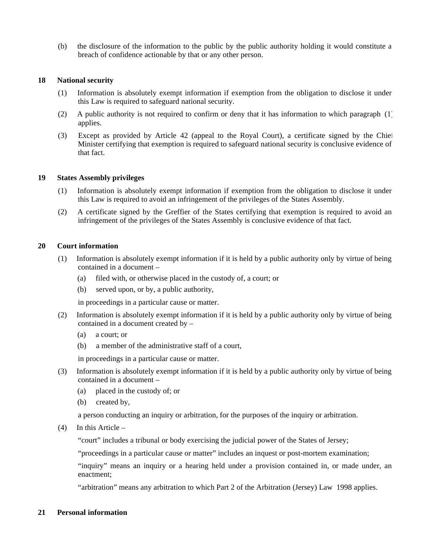(b) the disclosure of the information to the public by the public authority holding it would constitute a breach of confidence actionable by that or any other person.

#### **18 National security**

- (1) Information is absolutely exempt information if exemption from the obligation to disclose it under this Law is required to safeguard national security.
- (2) A public authority is not required to confirm or deny that it has information to which paragraph  $(1)$ applies.
- (3) Except as provided by Article 42 (appeal to the Royal Court), a certificate signed by the Chief Minister certifying that exemption is required to safeguard national security is conclusive evidence of that fact.

#### **19 States Assembly privileges**

- (1) Information is absolutely exempt information if exemption from the obligation to disclose it under this Law is required to avoid an infringement of the privileges of the States Assembly.
- (2) A certificate signed by the Greffier of the States certifying that exemption is required to avoid an infringement of the privileges of the States Assembly is conclusive evidence of that fact.

#### **20 Court information**

- (1) Information is absolutely exempt information if it is held by a public authority only by virtue of being contained in a document –
	- (a) filed with, or otherwise placed in the custody of, a court; or
	- (b) served upon, or by, a public authority,

in proceedings in a particular cause or matter.

- (2) Information is absolutely exempt information if it is held by a public authority only by virtue of being contained in a document created by –
	- (a) a court; or
	- (b) a member of the administrative staff of a court,

in proceedings in a particular cause or matter.

- (3) Information is absolutely exempt information if it is held by a public authority only by virtue of being contained in a document –
	- (a) placed in the custody of; or
	- (b) created by,

a person conducting an inquiry or arbitration, for the purposes of the inquiry or arbitration.

(4) In this Article –

"court" includes a tribunal or body exercising the judicial power of the States of Jersey;

"proceedings in a particular cause or matter" includes an inquest or post-mortem examination;

"inquiry" means an inquiry or a hearing held under a provision contained in, or made under, an enactment;

"arbitration" means any arbitration to which Part 2 of the Arbitration (Jersey) Law 1998 applies.

#### **21 Personal information**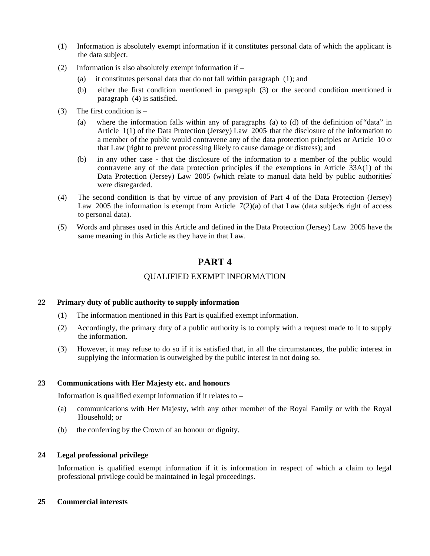- (1) Information is absolutely exempt information if it constitutes personal data of which the applicant is the data subject.
- (2) Information is also absolutely exempt information if
	- (a) it constitutes personal data that do not fall within paragraph (1); and
	- (b) either the first condition mentioned in paragraph (3) or the second condition mentioned in paragraph (4) is satisfied.
- (3) The first condition is  $-$ 
	- (a) where the information falls within any of paragraphs (a) to (d) of the definition of "data" in Article 1(1) of the Data Protection (Jersey) Law 2005- that the disclosure of the information to a member of the public would contravene any of the data protection principles or Article 10 of that Law (right to prevent processing likely to cause damage or distress); and
	- (b) in any other case that the disclosure of the information to a member of the public would contravene any of the data protection principles if the exemptions in Article 33A(1) of the Data Protection (Jersey) Law 2005 (which relate to manual data held by public authorities) were disregarded.
- (4) The second condition is that by virtue of any provision of Part 4 of the Data Protection (Jersey) Law 2005 the information is exempt from Article  $7(2)(a)$  of that Law (data subject is right of access to personal data).
- (5) Words and phrases used in this Article and defined in the Data Protection (Jersey) Law 2005 have the same meaning in this Article as they have in that Law.

## **PART 4**

#### QUALIFIED EXEMPT INFORMATION

#### **22 Primary duty of public authority to supply information**

- (1) The information mentioned in this Part is qualified exempt information.
- (2) Accordingly, the primary duty of a public authority is to comply with a request made to it to supply the information.
- (3) However, it may refuse to do so if it is satisfied that, in all the circumstances, the public interest in supplying the information is outweighed by the public interest in not doing so.

#### **23 Communications with Her Majesty etc. and honours**

Information is qualified exempt information if it relates to –

- (a) communications with Her Majesty, with any other member of the Royal Family or with the Royal Household; or
- (b) the conferring by the Crown of an honour or dignity.

#### **24 Legal professional privilege**

Information is qualified exempt information if it is information in respect of which a claim to legal professional privilege could be maintained in legal proceedings.

#### **25 Commercial interests**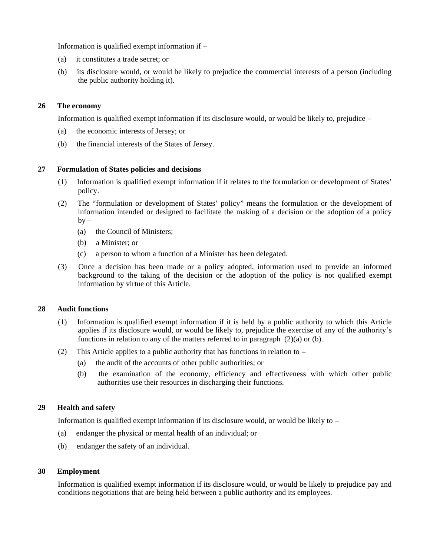Information is qualified exempt information if –

- (a) it constitutes a trade secret; or
- (b) its disclosure would, or would be likely to prejudice the commercial interests of a person (including the public authority holding it).

#### **26 The economy**

Information is qualified exempt information if its disclosure would, or would be likely to, prejudice –

- (a) the economic interests of Jersey; or
- (b) the financial interests of the States of Jersey.

#### **27 Formulation of States policies and decisions**

- (1) Information is qualified exempt information if it relates to the formulation or development of States' policy.
- (2) The "formulation or development of States' policy" means the formulation or the development of information intended or designed to facilitate the making of a decision or the adoption of a policy  $by -$ 
	- (a) the Council of Ministers;
	- (b) a Minister; or
	- (c) a person to whom a function of a Minister has been delegated.
- (3) Once a decision has been made or a policy adopted, information used to provide an informed background to the taking of the decision or the adoption of the policy is not qualified exempt information by virtue of this Article.

#### **28 Audit functions**

- (1) Information is qualified exempt information if it is held by a public authority to which this Article applies if its disclosure would, or would be likely to, prejudice the exercise of any of the authority's functions in relation to any of the matters referred to in paragraph (2)(a) or (b).
- (2) This Article applies to a public authority that has functions in relation to
	- (a) the audit of the accounts of other public authorities; or
	- (b) the examination of the economy, efficiency and effectiveness with which other public authorities use their resources in discharging their functions.

#### **29 Health and safety**

Information is qualified exempt information if its disclosure would, or would be likely to –

- (a) endanger the physical or mental health of an individual; or
- (b) endanger the safety of an individual.

#### **30 Employment**

Information is qualified exempt information if its disclosure would, or would be likely to prejudice pay and conditions negotiations that are being held between a public authority and its employees.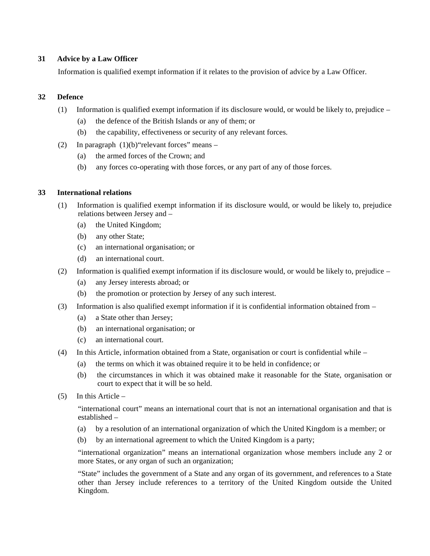#### **31 Advice by a Law Officer**

Information is qualified exempt information if it relates to the provision of advice by a Law Officer.

#### **32 Defence**

- (1) Information is qualified exempt information if its disclosure would, or would be likely to, prejudice  $-$ 
	- (a) the defence of the British Islands or any of them; or
	- (b) the capability, effectiveness or security of any relevant forces.
- (2) In paragraph  $(1)(b)$  "relevant forces" means
	- (a) the armed forces of the Crown; and
	- (b) any forces co-operating with those forces, or any part of any of those forces.

#### **33 International relations**

- (1) Information is qualified exempt information if its disclosure would, or would be likely to, prejudice relations between Jersey and –
	- (a) the United Kingdom;
	- (b) any other State;
	- (c) an international organisation; or
	- (d) an international court.
- (2) Information is qualified exempt information if its disclosure would, or would be likely to, prejudice
	- (a) any Jersey interests abroad; or
	- (b) the promotion or protection by Jersey of any such interest.
- (3) Information is also qualified exempt information if it is confidential information obtained from  $-$ 
	- (a) a State other than Jersey;
	- (b) an international organisation; or
	- (c) an international court.
- (4) In this Article, information obtained from a State, organisation or court is confidential while
	- (a) the terms on which it was obtained require it to be held in confidence; or
	- (b) the circumstances in which it was obtained make it reasonable for the State, organisation or court to expect that it will be so held.
- $(5)$  In this Article –

"international court" means an international court that is not an international organisation and that is established –

- (a) by a resolution of an international organization of which the United Kingdom is a member; or
- (b) by an international agreement to which the United Kingdom is a party;

"international organization" means an international organization whose members include any 2 or more States, or any organ of such an organization;

"State" includes the government of a State and any organ of its government, and references to a State other than Jersey include references to a territory of the United Kingdom outside the United Kingdom.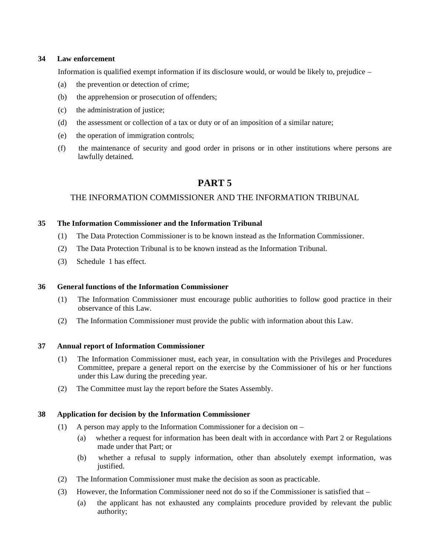#### **34 Law enforcement**

Information is qualified exempt information if its disclosure would, or would be likely to, prejudice –

- (a) the prevention or detection of crime;
- (b) the apprehension or prosecution of offenders;
- (c) the administration of justice;
- (d) the assessment or collection of a tax or duty or of an imposition of a similar nature;
- (e) the operation of immigration controls;
- (f) the maintenance of security and good order in prisons or in other institutions where persons are lawfully detained.

## **PART 5**

#### THE INFORMATION COMMISSIONER AND THE INFORMATION TRIBUNAL

#### **35 The Information Commissioner and the Information Tribunal**

- (1) The Data Protection Commissioner is to be known instead as the Information Commissioner.
- (2) The Data Protection Tribunal is to be known instead as the Information Tribunal.
- (3) Schedule 1 has effect.

#### **36 General functions of the Information Commissioner**

- (1) The Information Commissioner must encourage public authorities to follow good practice in their observance of this Law.
- (2) The Information Commissioner must provide the public with information about this Law.

#### **37 Annual report of Information Commissioner**

- (1) The Information Commissioner must, each year, in consultation with the Privileges and Procedures Committee, prepare a general report on the exercise by the Commissioner of his or her functions under this Law during the preceding year.
- (2) The Committee must lay the report before the States Assembly.

#### **38 Application for decision by the Information Commissioner**

- (1) A person may apply to the Information Commissioner for a decision on
	- (a) whether a request for information has been dealt with in accordance with Part 2 or Regulations made under that Part; or
	- (b) whether a refusal to supply information, other than absolutely exempt information, was justified.
- (2) The Information Commissioner must make the decision as soon as practicable.
- (3) However, the Information Commissioner need not do so if the Commissioner is satisfied that
	- (a) the applicant has not exhausted any complaints procedure provided by relevant the public authority;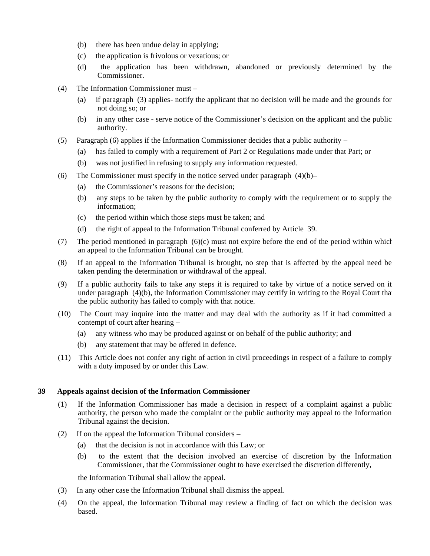- (b) there has been undue delay in applying;
- (c) the application is frivolous or vexatious; or
- (d) the application has been withdrawn, abandoned or previously determined by the Commissioner.
- (4) The Information Commissioner must
	- (a) if paragraph (3) applies- notify the applicant that no decision will be made and the grounds for not doing so; or
	- (b) in any other case serve notice of the Commissioner's decision on the applicant and the public authority.
- (5) Paragraph (6) applies if the Information Commissioner decides that a public authority
	- (a) has failed to comply with a requirement of Part 2 or Regulations made under that Part; or
	- (b) was not justified in refusing to supply any information requested.
- (6) The Commissioner must specify in the notice served under paragraph  $(4)(b)$ 
	- (a) the Commissioner's reasons for the decision;
	- (b) any steps to be taken by the public authority to comply with the requirement or to supply the information;
	- (c) the period within which those steps must be taken; and
	- (d) the right of appeal to the Information Tribunal conferred by Article 39.
- (7) The period mentioned in paragraph  $(6)(c)$  must not expire before the end of the period within which an appeal to the Information Tribunal can be brought.
- (8) If an appeal to the Information Tribunal is brought, no step that is affected by the appeal need be taken pending the determination or withdrawal of the appeal.
- (9) If a public authority fails to take any steps it is required to take by virtue of a notice served on it under paragraph (4)(b), the Information Commissioner may certify in writing to the Royal Court that the public authority has failed to comply with that notice.
- (10) The Court may inquire into the matter and may deal with the authority as if it had committed a contempt of court after hearing –
	- (a) any witness who may be produced against or on behalf of the public authority; and
	- (b) any statement that may be offered in defence.
- (11) This Article does not confer any right of action in civil proceedings in respect of a failure to comply with a duty imposed by or under this Law.

#### **39 Appeals against decision of the Information Commissioner**

- (1) If the Information Commissioner has made a decision in respect of a complaint against a public authority, the person who made the complaint or the public authority may appeal to the Information Tribunal against the decision.
- (2) If on the appeal the Information Tribunal considers
	- (a) that the decision is not in accordance with this Law; or
	- (b) to the extent that the decision involved an exercise of discretion by the Information Commissioner, that the Commissioner ought to have exercised the discretion differently,

the Information Tribunal shall allow the appeal.

- (3) In any other case the Information Tribunal shall dismiss the appeal.
- (4) On the appeal, the Information Tribunal may review a finding of fact on which the decision was based.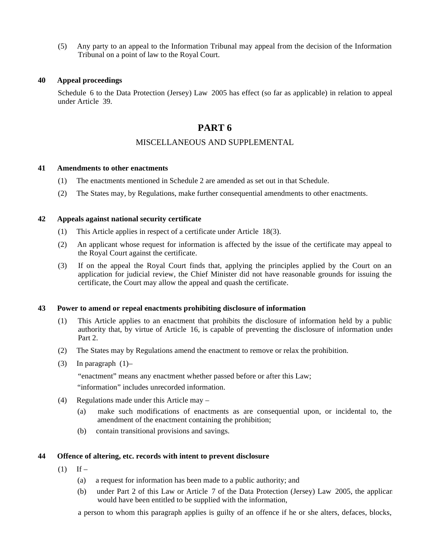(5) Any party to an appeal to the Information Tribunal may appeal from the decision of the Information Tribunal on a point of law to the Royal Court.

#### **40 Appeal proceedings**

Schedule 6 to the Data Protection (Jersey) Law 2005 has effect (so far as applicable) in relation to appeal under Article 39.

## **PART 6**

#### MISCELLANEOUS AND SUPPLEMENTAL

#### **41 Amendments to other enactments**

- (1) The enactments mentioned in Schedule 2 are amended as set out in that Schedule.
- (2) The States may, by Regulations, make further consequential amendments to other enactments.

#### **42 Appeals against national security certificate**

- (1) This Article applies in respect of a certificate under Article 18(3).
- (2) An applicant whose request for information is affected by the issue of the certificate may appeal to the Royal Court against the certificate.
- (3) If on the appeal the Royal Court finds that, applying the principles applied by the Court on an application for judicial review, the Chief Minister did not have reasonable grounds for issuing the certificate, the Court may allow the appeal and quash the certificate.

#### **43 Power to amend or repeal enactments prohibiting disclosure of information**

- (1) This Article applies to an enactment that prohibits the disclosure of information held by a public authority that, by virtue of Article 16, is capable of preventing the disclosure of information under Part 2.
- (2) The States may by Regulations amend the enactment to remove or relax the prohibition.
- (3) In paragraph  $(1)$ -

"enactment" means any enactment whether passed before or after this Law;

"information" includes unrecorded information.

- (4) Regulations made under this Article may
	- (a) make such modifications of enactments as are consequential upon, or incidental to, the amendment of the enactment containing the prohibition;
	- (b) contain transitional provisions and savings.

#### **44 Offence of altering, etc. records with intent to prevent disclosure**

- $(1)$  If
	- (a) a request for information has been made to a public authority; and
	- (b) under Part 2 of this Law or Article 7 of the Data Protection (Jersey) Law 2005, the applicant would have been entitled to be supplied with the information,

a person to whom this paragraph applies is guilty of an offence if he or she alters, defaces, blocks,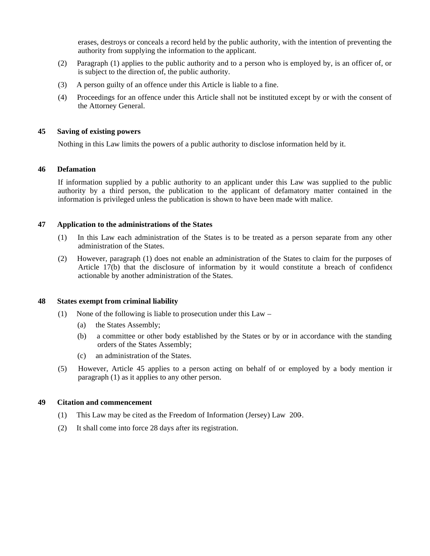erases, destroys or conceals a record held by the public authority, with the intention of preventing the authority from supplying the information to the applicant.

- (2) Paragraph (1) applies to the public authority and to a person who is employed by, is an officer of, or is subject to the direction of, the public authority.
- (3) A person guilty of an offence under this Article is liable to a fine.
- (4) Proceedings for an offence under this Article shall not be instituted except by or with the consent of the Attorney General.

#### **45 Saving of existing powers**

Nothing in this Law limits the powers of a public authority to disclose information held by it.

#### **46 Defamation**

If information supplied by a public authority to an applicant under this Law was supplied to the public authority by a third person, the publication to the applicant of defamatory matter contained in the information is privileged unless the publication is shown to have been made with malice.

#### **47 Application to the administrations of the States**

- (1) In this Law each administration of the States is to be treated as a person separate from any other administration of the States.
- (2) However, paragraph (1) does not enable an administration of the States to claim for the purposes of Article 17(b) that the disclosure of information by it would constitute a breach of confidence actionable by another administration of the States.

#### **48 States exempt from criminal liability**

- (1) None of the following is liable to prosecution under this Law
	- (a) the States Assembly;
	- (b) a committee or other body established by the States or by or in accordance with the standing orders of the States Assembly;
	- (c) an administration of the States.
- (5) However, Article 45 applies to a person acting on behalf of or employed by a body mention in paragraph (1) as it applies to any other person.

#### **49 Citation and commencement**

- (1) This Law may be cited as the Freedom of Information (Jersey) Law 200-.
- (2) It shall come into force 28 days after its registration.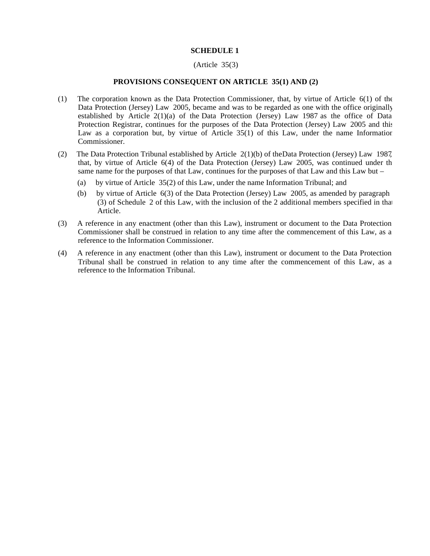#### **SCHEDULE 1**

#### (Article 35(3)

#### **PROVISIONS CONSEQUENT ON ARTICLE 35(1) AND (2)**

- (1) The corporation known as the Data Protection Commissioner, that, by virtue of Article 6(1) of the Data Protection (Jersey) Law 2005, became and was to be regarded as one with the office originally established by Article 2(1)(a) of the Data Protection (Jersey) Law 1987 as the office of Data Protection Registrar, continues for the purposes of the Data Protection (Jersey) Law 2005 and this Law as a corporation but, by virtue of Article  $35(1)$  of this Law, under the name Information Commissioner.
- (2) The Data Protection Tribunal established by Article 2(1)(b) of theData Protection (Jersey) Law 1987, that, by virtue of Article 6(4) of the Data Protection (Jersey) Law 2005, was continued under the same name for the purposes of that Law, continues for the purposes of that Law and this Law but –
	- (a) by virtue of Article 35(2) of this Law, under the name Information Tribunal; and
	- (b) by virtue of Article 6(3) of the Data Protection (Jersey) Law 2005, as amended by paragraph 1 (3) of Schedule 2 of this Law, with the inclusion of the 2 additional members specified in that Article.
- (3) A reference in any enactment (other than this Law), instrument or document to the Data Protection Commissioner shall be construed in relation to any time after the commencement of this Law, as a reference to the Information Commissioner.
- (4) A reference in any enactment (other than this Law), instrument or document to the Data Protection Tribunal shall be construed in relation to any time after the commencement of this Law, as a reference to the Information Tribunal.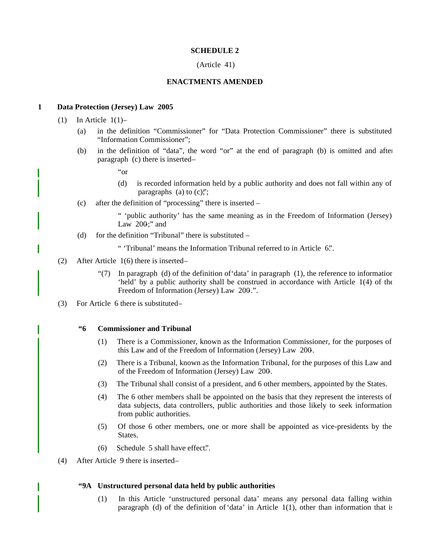#### **SCHEDULE 2**

#### (Article 41)

#### **ENACTMENTS AMENDED**

#### **1 Data Protection (Jersey) Law 2005**

- $(1)$  In Article  $1(1)$ 
	- (a) in the definition "Commissioner" for "Data Protection Commissioner" there is substituted "Information Commissioner";
	- (b) in the definition of "data", the word "or" at the end of paragraph (b) is omitted and after paragraph (c) there is inserted-
		- "or
		- (d) is recorded information held by a public authority and does not fall within any of paragraphs (a) to  $(c)$ ;";
	- (c) after the definition of "processing" there is inserted –

" 'public authority' has the same meaning as in the Freedom of Information (Jersey) Law  $200$ ;" and

(d) for the definition "Tribunal" there is substituted  $-$ 

" 'Tribunal' means the Information Tribunal referred to in Article 6.".

- (2) After Article 1(6) there is inserted
	- "(7) In paragraph (d) of the definition of 'data' in paragraph  $(1)$ , the reference to information 'held' by a public authority shall be construed in accordance with Article 1(4) of the Freedom of Information (Jersey) Law 200.".
- (3) For Article 6 there is substituted –

#### **"6 Commissioner and Tribunal**

- (1) There is a Commissioner, known as the Information Commissioner, for the purposes of this Law and of the Freedom of Information (Jersey) Law 200-.
- (2) There is a Tribunal, known as the Information Tribunal, for the purposes of this Law and of the Freedom of Information (Jersey) Law 200-.
- (3) The Tribunal shall consist of a president, and 6 other members, appointed by the States.
- (4) The 6 other members shall be appointed on the basis that they represent the interests of data subjects, data controllers, public authorities and those likely to seek information from public authorities.
- (5) Of those 6 other members, one or more shall be appointed as vice-presidents by the States.
- (6) Schedule 5 shall have effect.".
- (4) After Article 9 there is inserted –

#### **"9A Unstructured personal data held by public authorities**

(1) In this Article 'unstructured personal data' means any personal data falling within paragraph (d) of the definition of 'data' in Article  $1(1)$ , other than information that is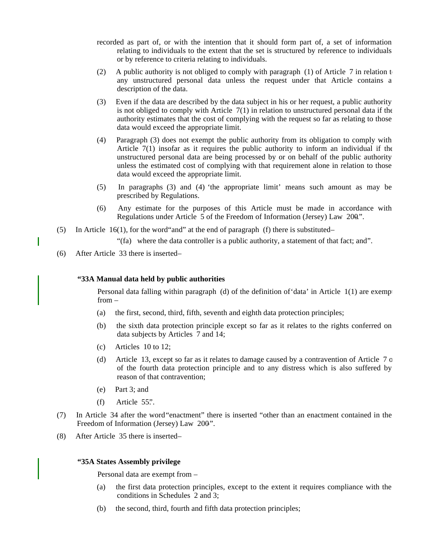- recorded as part of, or with the intention that it should form part of, a set of information relating to individuals to the extent that the set is structured by reference to individuals or by reference to criteria relating to individuals.
- (2) A public authority is not obliged to comply with paragraph (1) of Article 7 in relation t any unstructured personal data unless the request under that Article contains a description of the data.
- (3) Even if the data are described by the data subject in his or her request, a public authority is not obliged to comply with Article  $7(1)$  in relation to unstructured personal data if the authority estimates that the cost of complying with the request so far as relating to those data would exceed the appropriate limit.
- (4) Paragraph (3) does not exempt the public authority from its obligation to comply with Article 7(1) insofar as it requires the public authority to inform an individual if the unstructured personal data are being processed by or on behalf of the public authority unless the estimated cost of complying with that requirement alone in relation to those data would exceed the appropriate limit.
- (5) In paragraphs (3) and (4) 'the appropriate limit' means such amount as may be prescribed by Regulations.
- (6) Any estimate for the purposes of this Article must be made in accordance with Regulations under Article  $\overline{5}$  of the Freedom of Information (Jersey) Law 200".
- (5) In Article 16(1), for the word and" at the end of paragraph (f) there is substituted-

"(fa) where the data controller is a public authority, a statement of that fact; and".

(6) After Article 33 there is inserted –

#### **"33A Manual data held by public authorities**

Personal data falling within paragraph (d) of the definition of data' in Article  $1(1)$  are exemp from –

- (a) the first, second, third, fifth, seventh and eighth data protection principles;
- (b) the sixth data protection principle except so far as it relates to the rights conferred on data subjects by Articles 7 and 14;
- (c) Articles 10 to 12;
- (d) Article 13, except so far as it relates to damage caused by a contravention of Article 7 or of the fourth data protection principle and to any distress which is also suffered by reason of that contravention;
- (e) Part 3; and
- $(f)$  Article 55".
- (7) In Article 34 after the word"enactment" there is inserted "other than an enactment contained in the Freedom of Information (Jersey) Law 200".
- (8) After Article 35 there is inserted –

#### **"35A States Assembly privilege**

Personal data are exempt from –

- (a) the first data protection principles, except to the extent it requires compliance with the conditions in Schedules 2 and 3;
- (b) the second, third, fourth and fifth data protection principles;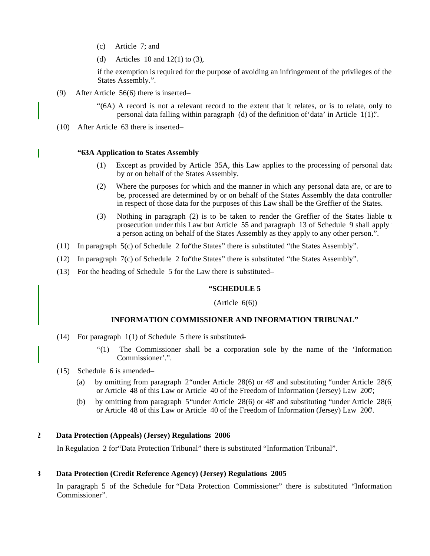- (c) Article 7; and
- (d) Articles 10 and  $12(1)$  to (3),

if the exemption is required for the purpose of avoiding an infringement of the privileges of the States Assembly.".

- (9) After Article  $56(6)$  there is inserted-
	- "(6A) A record is not a relevant record to the extent that it relates, or is to relate, only to personal data falling within paragraph (d) of the definition of'data' in Article 1(1).".
- (10) After Article 63 there is inserted-

#### **"63A Application to States Assembly**

- (1) Except as provided by Article 35A, this Law applies to the processing of personal data by or on behalf of the States Assembly.
- (2) Where the purposes for which and the manner in which any personal data are, or are to be, processed are determined by or on behalf of the States Assembly the data controller in respect of those data for the purposes of this Law shall be the Greffier of the States.
- (3) Nothing in paragraph (2) is to be taken to render the Greffier of the States liable to prosecution under this Law but Article 55 and paragraph 13 of Schedule 9 shall apply  $\uparrow$ a person acting on behalf of the States Assembly as they apply to any other person.".
- (11) In paragraph 5(c) of Schedule 2 for"the States" there is substituted "the States Assembly".
- (12) In paragraph 7(c) of Schedule 2 for"the States" there is substituted "the States Assembly".
- (13) For the heading of Schedule 5 for the Law there is substituted –

#### **"SCHEDULE 5**

#### $(A<sup>rt</sup>icle 6(6))$

#### **INFORMATION COMMISSIONER AND INFORMATION TRIBUNAL"**

- (14) For paragraph  $1(1)$  of Schedule 5 there is substituted
	- "(1) The Commissioner shall be a corporation sole by the name of the 'Information Commissioner'.".
- (15) Schedule 6 is amended
	- (a) by omitting from paragraph 2"under Article 28(6) or 48" and substituting "under Article 28(6) or Article 48 of this Law or Article 40 of the Freedom of Information (Jersey) Law 200;
	- (b) by omitting from paragraph 5"under Article 28(6) or 48" and substituting "under Article 28(6) or Article 48 of this Law or Article 40 of the Freedom of Information (Jersey) Law 200.

#### **2 Data Protection (Appeals) (Jersey) Regulations 2006**

In Regulation 2 for"Data Protection Tribunal" there is substituted "Information Tribunal".

#### **3 Data Protection (Credit Reference Agency) (Jersey) Regulations 2005**

In paragraph 5 of the Schedule for "Data Protection Commissioner" there is substituted "Information Commissioner".